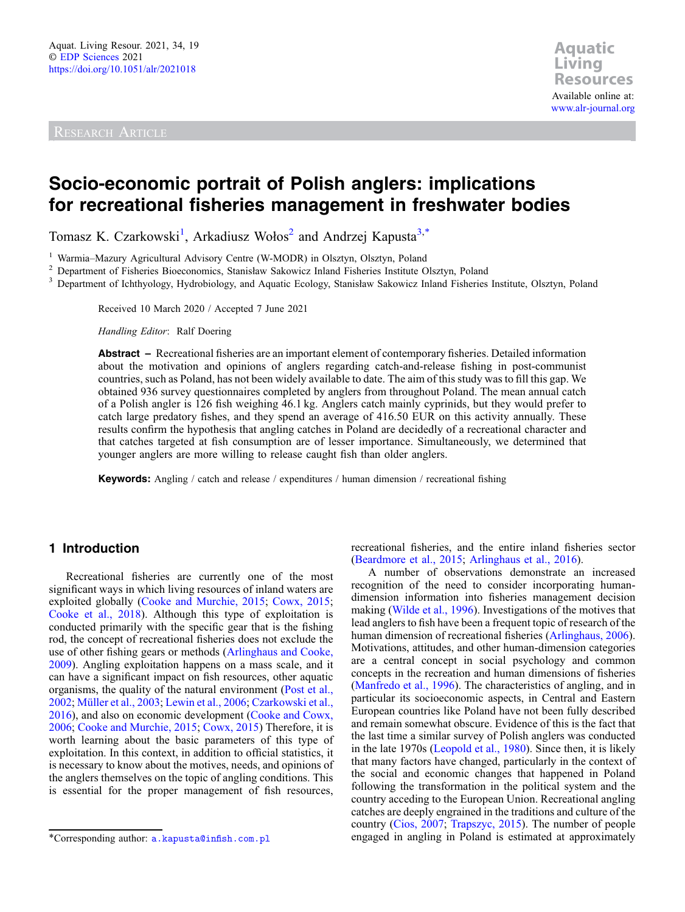RESEARCH ARTICLE

# Socio-economic portrait of Polish anglers: implications for recreational fisheries management in freshwater bodies

Tomasz K. Czarkowski<sup>1</sup>, Arkadiusz Wołos<sup>2</sup> and Andrzej Kapusta<sup>3,\*</sup>

<sup>1</sup> Warmia–Mazury Agricultural Advisory Centre (W-MODR) in Olsztyn, Olsztyn, Poland<br><sup>2</sup> Department of Fisheries Bioeconomics, Stanisław Sakowicz Inland Fisheries Institute Olsztyn, Poland<br><sup>3</sup> Department of Ichthvology. Hy

Received 10 March 2020 / Accepted 7 June 2021

Handling Editor: Ralf Doering

Abstract – Recreational fisheries are an important element of contemporary fisheries. Detailed information about the motivation and opinions of anglers regarding catch-and-release fishing in post-communist countries, such as Poland, has not been widely available to date. The aim of this study was to fill this gap. We obtained 936 survey questionnaires completed by anglers from throughout Poland. The mean annual catch of a Polish angler is 126 fish weighing 46.1 kg. Anglers catch mainly cyprinids, but they would prefer to catch large predatory fishes, and they spend an average of 416.50 EUR on this activity annually. These results confirm the hypothesis that angling catches in Poland are decidedly of a recreational character and that catches targeted at fish consumption are of lesser importance. Simultaneously, we determined that younger anglers are more willing to release caught fish than older anglers.

Keywords: Angling / catch and release / expenditures / human dimension / recreational fishing

# 1 Introduction

Recreational fisheries are currently one of the most significant ways in which living resources of inland waters are exploited globally ([Cooke and Murchie, 2015;](#page-12-0) [Cowx, 2015](#page-12-0); [Cooke et al., 2018\)](#page-12-0). Although this type of exploitation is conducted primarily with the specific gear that is the fishing rod, the concept of recreational fisheries does not exclude the use of other fishing gears or methods [\(Arlinghaus and Cooke,](#page-11-0) [2009](#page-11-0)). Angling exploitation happens on a mass scale, and it can have a significant impact on fish resources, other aquatic organisms, the quality of the natural environment ([Post et al.,](#page-13-0) [2002](#page-13-0); [Müller et al., 2003](#page-12-0); [Lewin et al., 2006](#page-12-0); [Czarkowski et al.,](#page-12-0) [2016](#page-12-0)), and also on economic development ([Cooke and Cowx,](#page-12-0) [2006](#page-12-0); [Cooke and Murchie, 2015](#page-12-0); [Cowx, 2015](#page-12-0)) Therefore, it is worth learning about the basic parameters of this type of exploitation. In this context, in addition to official statistics, it is necessary to know about the motives, needs, and opinions of the anglers themselves on the topic of angling conditions. This is essential for the proper management of fish resources,

recreational fisheries, and the entire inland fisheries sector ([Beardmore et al., 2015](#page-11-0); [Arlinghaus et al., 2016\)](#page-11-0).

A number of observations demonstrate an increased recognition of the need to consider incorporating humandimension information into fisheries management decision making [\(Wilde et al., 1996\)](#page-13-0). Investigations of the motives that lead anglers to fish have been a frequent topic of research of the human dimension of recreational fisheries ([Arlinghaus, 2006\)](#page-11-0). Motivations, attitudes, and other human-dimension categories are a central concept in social psychology and common concepts in the recreation and human dimensions of fisheries ([Manfredo et al., 1996](#page-12-0)). The characteristics of angling, and in particular its socioeconomic aspects, in Central and Eastern European countries like Poland have not been fully described and remain somewhat obscure. Evidence of this is the fact that the last time a similar survey of Polish anglers was conducted in the late 1970s [\(Leopold et al., 1980](#page-12-0)). Since then, it is likely that many factors have changed, particularly in the context of the social and economic changes that happened in Poland following the transformation in the political system and the country acceding to the European Union. Recreational angling catches are deeply engrained in the traditions and culture of the country [\(Cios, 2007](#page-11-0); [Trapszyc, 2015\)](#page-13-0). The number of people \*Corresponding author: [a.kapusta@in](mailto:a.kapusta@infish.com.pl)fish.com.pl engaged in angling in Poland is estimated at approximately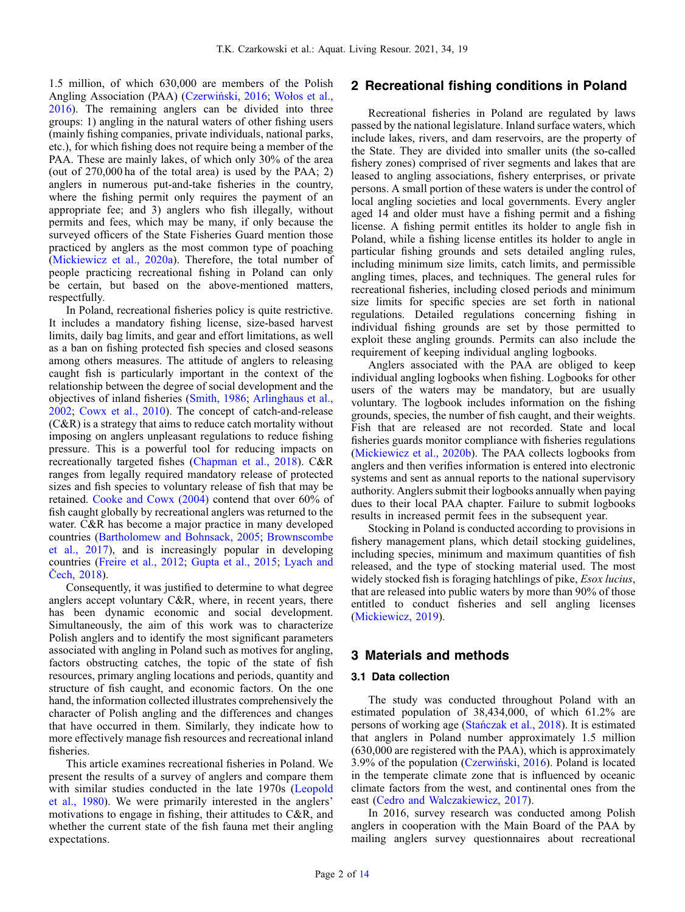1.5 million, of which 630,000 are members of the Polish Angling Association (PAA) (Czerwiń[ski, 2016](#page-12-0); Woł[os et al.,](#page-13-0) [2016](#page-13-0)). The remaining anglers can be divided into three groups: 1) angling in the natural waters of other fishing users (mainly fishing companies, private individuals, national parks, etc.), for which fishing does not require being a member of the PAA. These are mainly lakes, of which only 30% of the area (out of 270,000 ha of the total area) is used by the PAA; 2) anglers in numerous put-and-take fisheries in the country, where the fishing permit only requires the payment of an appropriate fee; and 3) anglers who fish illegally, without permits and fees, which may be many, if only because the surveyed officers of the State Fisheries Guard mention those practiced by anglers as the most common type of poaching ([Mickiewicz et al., 2020a](#page-12-0)). Therefore, the total number of people practicing recreational fishing in Poland can only be certain, but based on the above-mentioned matters, respectfully.

In Poland, recreational fisheries policy is quite restrictive. It includes a mandatory fishing license, size-based harvest limits, daily bag limits, and gear and effort limitations, as well as a ban on fishing protected fish species and closed seasons among others measures. The attitude of anglers to releasing caught fish is particularly important in the context of the relationship between the degree of social development and the objectives of inland fisheries ([Smith, 1986](#page-13-0); [Arlinghaus et al.,](#page-11-0) [2002](#page-11-0); [Cowx et al., 2010\)](#page-12-0). The concept of catch-and-release (C&R) is a strategy that aims to reduce catch mortality without imposing on anglers unpleasant regulations to reduce fishing pressure. This is a powerful tool for reducing impacts on recreationally targeted fishes [\(Chapman et al., 2018\)](#page-11-0). C&R ranges from legally required mandatory release of protected sizes and fish species to voluntary release of fish that may be retained. [Cooke and Cowx \(2004\)](#page-12-0) contend that over 60% of fish caught globally by recreational anglers was returned to the water. C&R has become a major practice in many developed countries ([Bartholomew and Bohnsack, 2005](#page-11-0); [Brownscombe](#page-11-0) [et al., 2017](#page-11-0)), and is increasingly popular in developing countries ([Freire et al., 2012](#page-12-0); [Gupta et al., 2015](#page-12-0); [Lyach and](#page-12-0) Č[ech, 2018\)](#page-12-0).

Consequently, it was justified to determine to what degree anglers accept voluntary C&R, where, in recent years, there has been dynamic economic and social development. Simultaneously, the aim of this work was to characterize Polish anglers and to identify the most significant parameters associated with angling in Poland such as motives for angling, factors obstructing catches, the topic of the state of fish resources, primary angling locations and periods, quantity and structure of fish caught, and economic factors. On the one hand, the information collected illustrates comprehensively the character of Polish angling and the differences and changes that have occurred in them. Similarly, they indicate how to more effectively manage fish resources and recreational inland fisheries.

This article examines recreational fisheries in Poland. We present the results of a survey of anglers and compare them with similar studies conducted in the late 1970s [\(Leopold](#page-12-0) [et al., 1980](#page-12-0)). We were primarily interested in the anglers' motivations to engage in fishing, their attitudes to C&R, and whether the current state of the fish fauna met their angling expectations.

# 2 Recreational fishing conditions in Poland

Recreational fisheries in Poland are regulated by laws passed by the national legislature. Inland surface waters, which include lakes, rivers, and dam reservoirs, are the property of the State. They are divided into smaller units (the so-called fishery zones) comprised of river segments and lakes that are leased to angling associations, fishery enterprises, or private persons. A small portion of these waters is under the control of local angling societies and local governments. Every angler aged 14 and older must have a fishing permit and a fishing license. A fishing permit entitles its holder to angle fish in Poland, while a fishing license entitles its holder to angle in particular fishing grounds and sets detailed angling rules, including minimum size limits, catch limits, and permissible angling times, places, and techniques. The general rules for recreational fisheries, including closed periods and minimum size limits for specific species are set forth in national regulations. Detailed regulations concerning fishing in individual fishing grounds are set by those permitted to exploit these angling grounds. Permits can also include the requirement of keeping individual angling logbooks.

Anglers associated with the PAA are obliged to keep individual angling logbooks when fishing. Logbooks for other users of the waters may be mandatory, but are usually voluntary. The logbook includes information on the fishing grounds, species, the number of fish caught, and their weights. Fish that are released are not recorded. State and local fisheries guards monitor compliance with fisheries regulations ([Mickiewicz et al., 2020b\)](#page-12-0). The PAA collects logbooks from anglers and then verifies information is entered into electronic systems and sent as annual reports to the national supervisory authority. Anglers submit their logbooks annually when paying dues to their local PAA chapter. Failure to submit logbooks results in increased permit fees in the subsequent year.

Stocking in Poland is conducted according to provisions in fishery management plans, which detail stocking guidelines, including species, minimum and maximum quantities of fish released, and the type of stocking material used. The most widely stocked fish is foraging hatchlings of pike, *Esox lucius*, that are released into public waters by more than 90% of those entitled to conduct fisheries and sell angling licenses ([Mickiewicz, 2019](#page-12-0)).

## 3 Materials and methods

#### 3.1 Data collection

The study was conducted throughout Poland with an estimated population of 38,434,000, of which 61.2% are persons of working age (Stań[czak et al., 2018](#page-13-0)). It is estimated that anglers in Poland number approximately 1.5 million (630,000 are registered with the PAA), which is approximately 3.9% of the population (Czerwiń[ski, 2016](#page-12-0)). Poland is located in the temperate climate zone that is influenced by oceanic climate factors from the west, and continental ones from the east ([Cedro and Walczakiewicz, 2017\)](#page-11-0).

In 2016, survey research was conducted among Polish anglers in cooperation with the Main Board of the PAA by mailing anglers survey questionnaires about recreational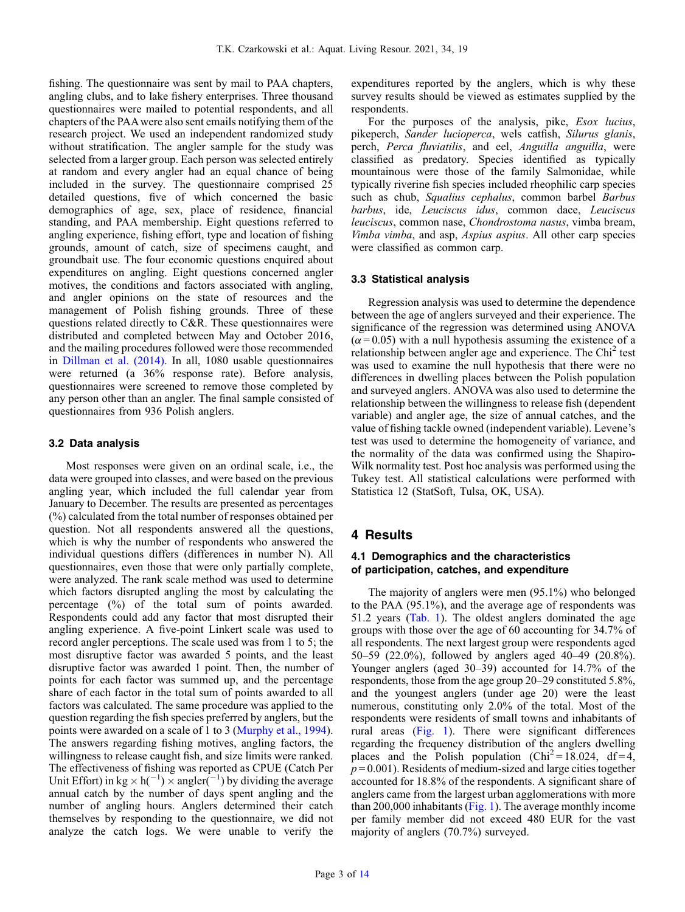fishing. The questionnaire was sent by mail to PAA chapters, angling clubs, and to lake fishery enterprises. Three thousand questionnaires were mailed to potential respondents, and all chapters of the PAAwere also sent emails notifying them of the research project. We used an independent randomized study without stratification. The angler sample for the study was selected from a larger group. Each person was selected entirely at random and every angler had an equal chance of being included in the survey. The questionnaire comprised 25 detailed questions, five of which concerned the basic demographics of age, sex, place of residence, financial standing, and PAA membership. Eight questions referred to angling experience, fishing effort, type and location of fishing grounds, amount of catch, size of specimens caught, and groundbait use. The four economic questions enquired about expenditures on angling. Eight questions concerned angler motives, the conditions and factors associated with angling, and angler opinions on the state of resources and the management of Polish fishing grounds. Three of these questions related directly to C&R. These questionnaires were distributed and completed between May and October 2016, and the mailing procedures followed were those recommended in [Dillman et al. \(2014\).](#page-12-0) In all, 1080 usable questionnaires were returned (a 36% response rate). Before analysis, questionnaires were screened to remove those completed by any person other than an angler. The final sample consisted of questionnaires from 936 Polish anglers.

#### 3.2 Data analysis

Most responses were given on an ordinal scale, i.e., the data were grouped into classes, and were based on the previous angling year, which included the full calendar year from January to December. The results are presented as percentages (%) calculated from the total number of responses obtained per question. Not all respondents answered all the questions, which is why the number of respondents who answered the individual questions differs (differences in number N). All questionnaires, even those that were only partially complete, were analyzed. The rank scale method was used to determine which factors disrupted angling the most by calculating the percentage (%) of the total sum of points awarded. Respondents could add any factor that most disrupted their angling experience. A five-point Linkert scale was used to record angler perceptions. The scale used was from 1 to 5; the most disruptive factor was awarded 5 points, and the least disruptive factor was awarded 1 point. Then, the number of points for each factor was summed up, and the percentage share of each factor in the total sum of points awarded to all factors was calculated. The same procedure was applied to the question regarding the fish species preferred by anglers, but the points were awarded on a scale of 1 to 3 ([Murphy et al., 1994](#page-12-0)). The answers regarding fishing motives, angling factors, the willingness to release caught fish, and size limits were ranked. The effectiveness of fishing was reported as CPUE (Catch Per Unit Effort) in kg  $\times$  h(<sup>-1</sup>)  $\times$  angler(<sup>-1</sup>) by dividing the average annual catch by the number of days spent angling and the number of angling hours. Anglers determined their catch themselves by responding to the questionnaire, we did not analyze the catch logs. We were unable to verify the expenditures reported by the anglers, which is why these survey results should be viewed as estimates supplied by the respondents.

For the purposes of the analysis, pike, *Esox lucius*, pikeperch, Sander lucioperca, wels catfish, Silurus glanis, perch, Perca fluviatilis, and eel, Anguilla anguilla, were classified as predatory. Species identified as typically mountainous were those of the family Salmonidae, while typically riverine fish species included rheophilic carp species such as chub, Squalius cephalus, common barbel Barbus barbus, ide, Leuciscus idus, common dace, Leuciscus leuciscus, common nase, Chondrostoma nasus, vimba bream, Vimba vimba, and asp, Aspius aspius. All other carp species were classified as common carp.

# 3.3 Statistical analysis

Regression analysis was used to determine the dependence between the age of anglers surveyed and their experience. The significance of the regression was determined using ANOVA  $(\alpha = 0.05)$  with a null hypothesis assuming the existence of a relationship between angler age and experience. The  $Chi<sup>2</sup>$  test was used to examine the null hypothesis that there were no differences in dwelling places between the Polish population and surveyed anglers. ANOVA was also used to determine the relationship between the willingness to release fish (dependent variable) and angler age, the size of annual catches, and the value of fishing tackle owned (independent variable). Levene's test was used to determine the homogeneity of variance, and the normality of the data was confirmed using the Shapiro-Wilk normality test. Post hoc analysis was performed using the Tukey test. All statistical calculations were performed with Statistica 12 (StatSoft, Tulsa, OK, USA).

# 4 Results

## 4.1 Demographics and the characteristics of participation, catches, and expenditure

The majority of anglers were men (95.1%) who belonged to the PAA (95.1%), and the average age of respondents was 51.2 years [\(Tab. 1](#page-3-0)). The oldest anglers dominated the age groups with those over the age of 60 accounting for 34.7% of all respondents. The next largest group were respondents aged 50–59 (22.0%), followed by anglers aged 40–49 (20.8%). Younger anglers (aged 30–39) accounted for 14.7% of the respondents, those from the age group 20–29 constituted 5.8%, and the youngest anglers (under age 20) were the least numerous, constituting only 2.0% of the total. Most of the respondents were residents of small towns and inhabitants of rural areas [\(Fig. 1](#page-3-0)). There were significant differences regarding the frequency distribution of the anglers dwelling places and the Polish population (Chi<sup>2</sup> = 18.024, df = 4,  $p = 0.001$ ). Residents of medium-sized and large cities together accounted for 18.8% of the respondents. A significant share of anglers came from the largest urban agglomerations with more than 200,000 inhabitants ([Fig. 1](#page-3-0)). The average monthly income per family member did not exceed 480 EUR for the vast majority of anglers (70.7%) surveyed.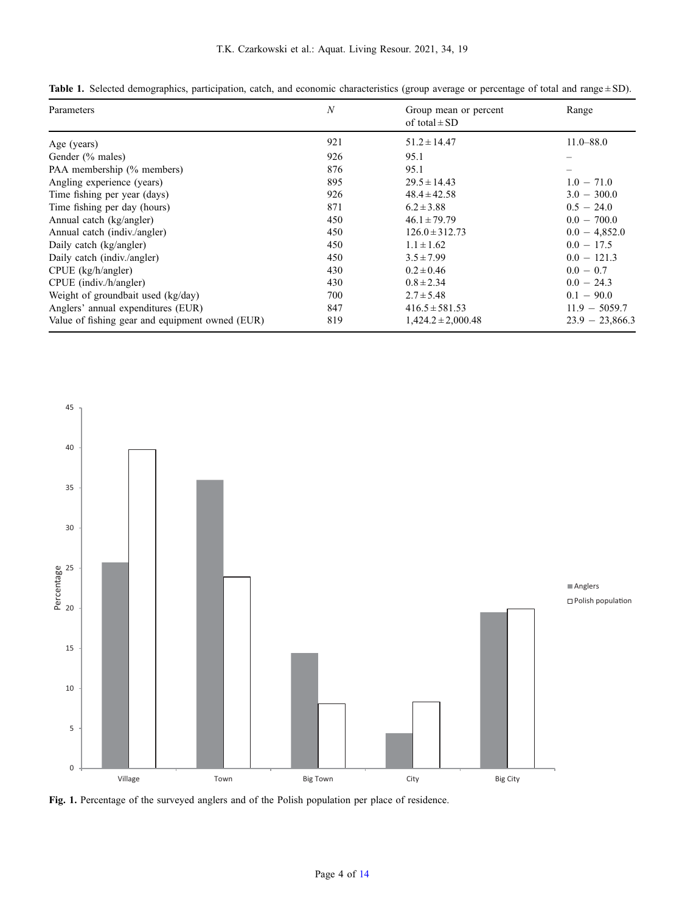| Parameters                                      | $\boldsymbol{N}$ | Group mean or percent<br>of total $\pm$ SD | Range             |
|-------------------------------------------------|------------------|--------------------------------------------|-------------------|
| Age (years)                                     | 921              | $51.2 \pm 14.47$                           | $11.0 - 88.0$     |
| Gender (% males)                                | 926              | 95.1                                       |                   |
| PAA membership (% members)                      | 876              | 95.1                                       |                   |
| Angling experience (years)                      | 895              | $29.5 \pm 14.43$                           | $1.0 - 71.0$      |
| Time fishing per year (days)                    | 926              | $48.4 \pm 42.58$                           | $3.0 - 300.0$     |
| Time fishing per day (hours)                    | 871              | $6.2 \pm 3.88$                             | $0.5 - 24.0$      |
| Annual catch (kg/angler)                        | 450              | $46.1 \pm 79.79$                           | $0.0 - 700.0$     |
| Annual catch (indiv./angler)                    | 450              | $126.0 \pm 312.73$                         | $0.0 - 4,852.0$   |
| Daily catch (kg/angler)                         | 450              | $1.1 \pm 1.62$                             | $0.0 - 17.5$      |
| Daily catch (indiv./angler)                     | 450              | $3.5 \pm 7.99$                             | $0.0 - 121.3$     |
| CPUE (kg/h/angler)                              | 430              | $0.2 \pm 0.46$                             | $0.0 - 0.7$       |
| CPUE (indiv./h/angler)                          | 430              | $0.8 \pm 2.34$                             | $0.0 - 24.3$      |
| Weight of groundbait used (kg/day)              | 700              | $2.7 \pm 5.48$                             | $0.1 - 90.0$      |
| Anglers' annual expenditures (EUR)              | 847              | $416.5 \pm 581.53$                         | $11.9 - 5059.7$   |
| Value of fishing gear and equipment owned (EUR) | 819              | $1,424.2 \pm 2,000.48$                     | $23.9 - 23,866.3$ |

<span id="page-3-0"></span>Table 1. Selected demographics, participation, catch, and economic characteristics (group average or percentage of total and range ± SD).

l,



Fig. 1. Percentage of the surveyed anglers and of the Polish population per place of residence.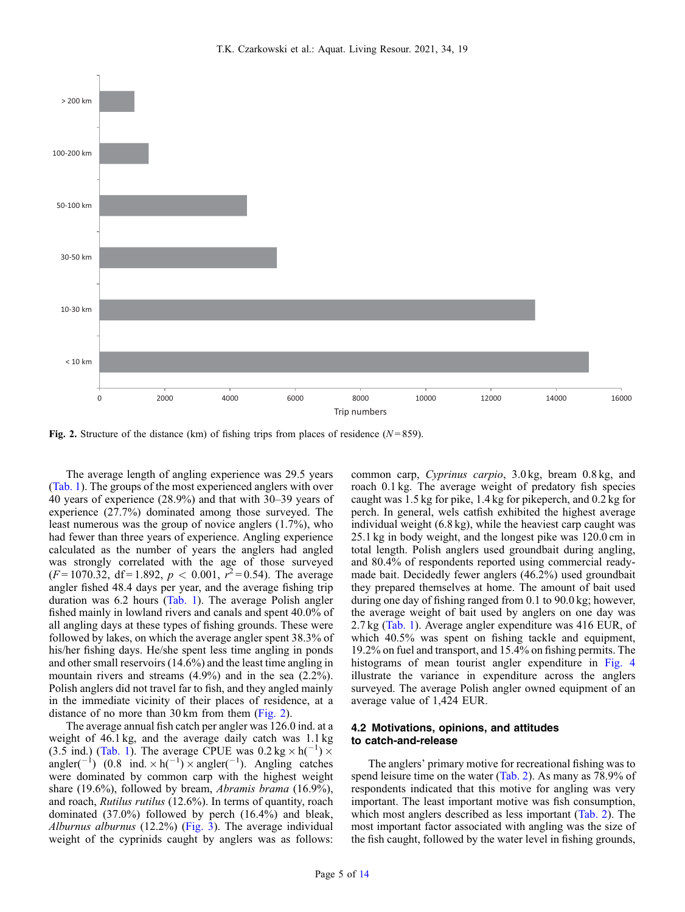

Fig. 2. Structure of the distance (km) of fishing trips from places of residence ( $N = 859$ ).

The average length of angling experience was 29.5 years ([Tab. 1](#page-3-0)). The groups of the most experienced anglers with over 40 years of experience (28.9%) and that with 30–39 years of experience (27.7%) dominated among those surveyed. The least numerous was the group of novice anglers (1.7%), who had fewer than three years of experience. Angling experience calculated as the number of years the anglers had angled was strongly correlated with the age of those surveyed  $(F=1070.32, df=1.892, p < 0.001, r<sup>2</sup>=0.54)$ . The average angler fished 48.4 days per year, and the average fishing trip duration was 6.2 hours [\(Tab. 1\)](#page-3-0). The average Polish angler fished mainly in lowland rivers and canals and spent 40.0% of all angling days at these types of fishing grounds. These were followed by lakes, on which the average angler spent 38.3% of his/her fishing days. He/she spent less time angling in ponds and other small reservoirs (14.6%) and the least time angling in mountain rivers and streams (4.9%) and in the sea (2.2%). Polish anglers did not travel far to fish, and they angled mainly in the immediate vicinity of their places of residence, at a distance of no more than 30 km from them (Fig. 2).

The average annual fish catch per angler was 126.0 ind. at a weight of 46.1 kg, and the average daily catch was 1.1 kg (3.5 ind.) [\(Tab. 1](#page-3-0)). The average CPUE was  $0.2 \text{ kg} \times \text{h}^{-1}$ )  $\times$ angler( $^{-1}$ ) (0.8 ind.  $\times$  h( $^{-1}$ )  $\times$  angler( $^{-1}$ ). Angling catches were dominated by common carp with the highest weight share (19.6%), followed by bream, Abramis brama (16.9%), and roach, Rutilus rutilus (12.6%). In terms of quantity, roach dominated (37.0%) followed by perch (16.4%) and bleak, Alburnus alburnus (12.2%) [\(Fig. 3\)](#page-5-0). The average individual weight of the cyprinids caught by anglers was as follows:

common carp, Cyprinus carpio, 3.0 kg, bream 0.8 kg, and roach 0.1 kg. The average weight of predatory fish species caught was 1.5 kg for pike, 1.4 kg for pikeperch, and 0.2 kg for perch. In general, wels catfish exhibited the highest average individual weight (6.8 kg), while the heaviest carp caught was 25.1 kg in body weight, and the longest pike was 120.0 cm in total length. Polish anglers used groundbait during angling, and 80.4% of respondents reported using commercial readymade bait. Decidedly fewer anglers (46.2%) used groundbait they prepared themselves at home. The amount of bait used during one day of fishing ranged from 0.1 to 90.0 kg; however, the average weight of bait used by anglers on one day was 2.7 kg ([Tab. 1\)](#page-3-0). Average angler expenditure was 416 EUR, of which  $40.5\%$  was spent on fishing tackle and equipment, 19.2% on fuel and transport, and 15.4% on fishing permits. The histograms of mean tourist angler expenditure in [Fig. 4](#page-5-0) illustrate the variance in expenditure across the anglers surveyed. The average Polish angler owned equipment of an average value of 1,424 EUR.

### 4.2 Motivations, opinions, and attitudes to catch-and-release

The anglers' primary motive for recreational fishing was to spend leisure time on the water ([Tab. 2](#page-6-0)). As many as 78.9% of respondents indicated that this motive for angling was very important. The least important motive was fish consumption, which most anglers described as less important ([Tab. 2](#page-6-0)). The most important factor associated with angling was the size of the fish caught, followed by the water level in fishing grounds,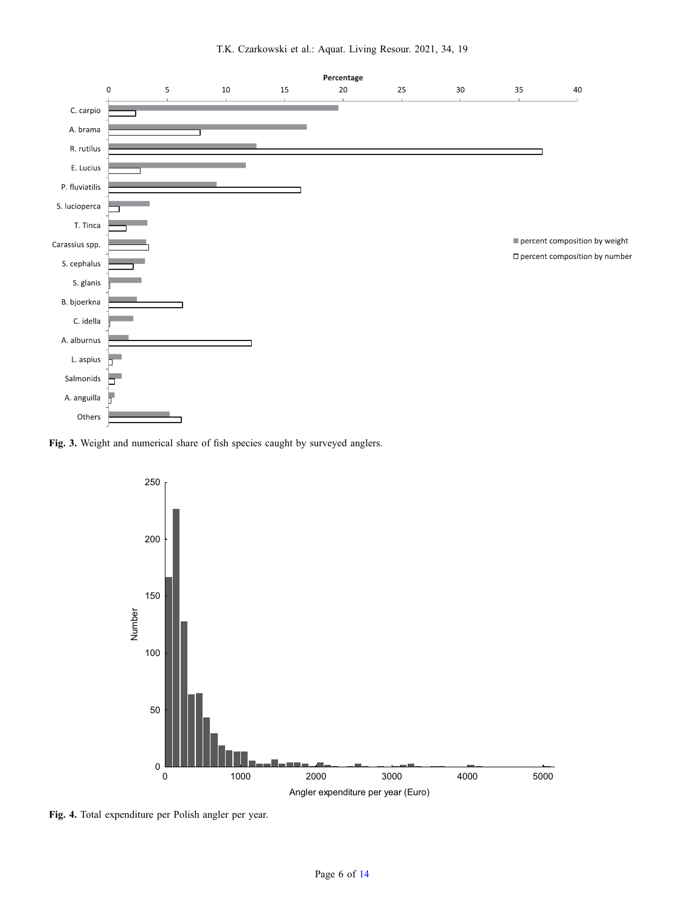<span id="page-5-0"></span>

Fig. 3. Weight and numerical share of fish species caught by surveyed anglers.



Fig. 4. Total expenditure per Polish angler per year.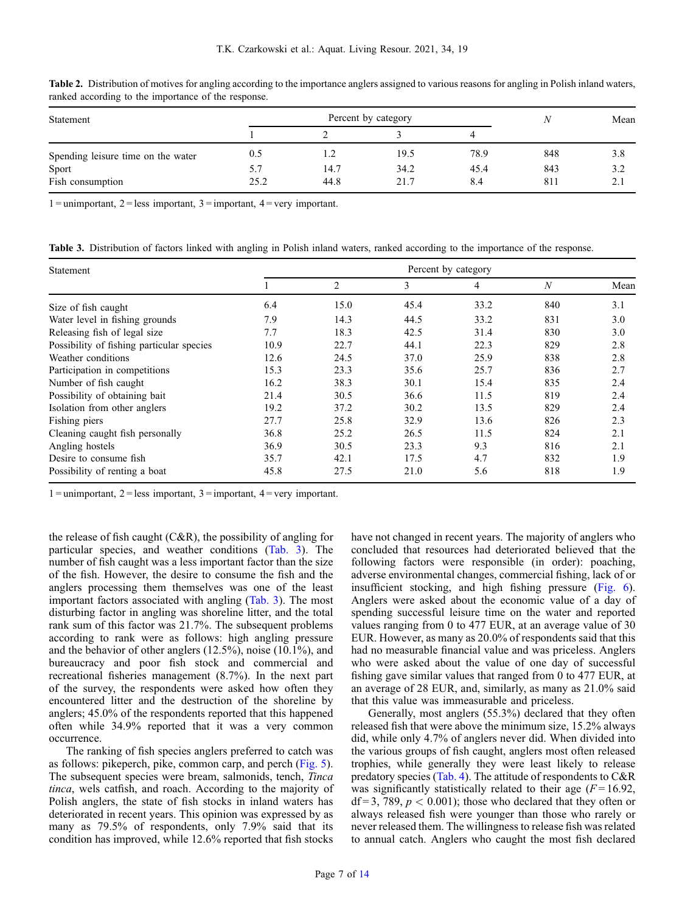| Statement                          |      | Percent by category |      |      |     | Mean |
|------------------------------------|------|---------------------|------|------|-----|------|
|                                    |      |                     |      |      |     |      |
| Spending leisure time on the water | 0.5  | . . 2               | 19.5 | 78.9 | 848 | 3.8  |
| Sport                              | 5.7  | 14.7                | 34.2 | 45.4 | 843 | 3.2  |
| Fish consumption                   | 25.2 | 44.8                | 21.7 | 8.4  | 811 | 2.1  |

<span id="page-6-0"></span>Table 2. Distribution of motives for angling according to the importance anglers assigned to various reasons for angling in Polish inland waters, ranked according to the importance of the response.

 $1 =$ unimportant,  $2 =$ less important,  $3 =$ important,  $4 =$ very important.

Table 3. Distribution of factors linked with angling in Polish inland waters, ranked according to the importance of the response.

| Statement                                 | Percent by category |                |      |                |                  |      |
|-------------------------------------------|---------------------|----------------|------|----------------|------------------|------|
|                                           |                     | $\overline{2}$ | 3    | $\overline{4}$ | $\boldsymbol{N}$ | Mean |
| Size of fish caught                       | 6.4                 | 15.0           | 45.4 | 33.2           | 840              | 3.1  |
| Water level in fishing grounds            | 7.9                 | 14.3           | 44.5 | 33.2           | 831              | 3.0  |
| Releasing fish of legal size              | 7.7                 | 18.3           | 42.5 | 31.4           | 830              | 3.0  |
| Possibility of fishing particular species | 10.9                | 22.7           | 44.1 | 22.3           | 829              | 2.8  |
| Weather conditions                        | 12.6                | 24.5           | 37.0 | 25.9           | 838              | 2.8  |
| Participation in competitions             | 15.3                | 23.3           | 35.6 | 25.7           | 836              | 2.7  |
| Number of fish caught                     | 16.2                | 38.3           | 30.1 | 15.4           | 835              | 2.4  |
| Possibility of obtaining bait             | 21.4                | 30.5           | 36.6 | 11.5           | 819              | 2.4  |
| Isolation from other anglers              | 19.2                | 37.2           | 30.2 | 13.5           | 829              | 2.4  |
| Fishing piers                             | 27.7                | 25.8           | 32.9 | 13.6           | 826              | 2.3  |
| Cleaning caught fish personally           | 36.8                | 25.2           | 26.5 | 11.5           | 824              | 2.1  |
| Angling hostels                           | 36.9                | 30.5           | 23.3 | 9.3            | 816              | 2.1  |
| Desire to consume fish                    | 35.7                | 42.1           | 17.5 | 4.7            | 832              | 1.9  |
| Possibility of renting a boat             | 45.8                | 27.5           | 21.0 | 5.6            | 818              | 1.9  |

 $1 =$ unimportant,  $2 =$ less important,  $3 =$ important,  $4 =$ very important.

the release of fish caught (C&R), the possibility of angling for particular species, and weather conditions (Tab. 3). The number of fish caught was a less important factor than the size of the fish. However, the desire to consume the fish and the anglers processing them themselves was one of the least important factors associated with angling (Tab. 3). The most disturbing factor in angling was shoreline litter, and the total rank sum of this factor was 21.7%. The subsequent problems according to rank were as follows: high angling pressure and the behavior of other anglers (12.5%), noise (10.1%), and bureaucracy and poor fish stock and commercial and recreational fisheries management (8.7%). In the next part of the survey, the respondents were asked how often they encountered litter and the destruction of the shoreline by anglers; 45.0% of the respondents reported that this happened often while 34.9% reported that it was a very common occurrence.

The ranking of fish species anglers preferred to catch was as follows: pikeperch, pike, common carp, and perch ([Fig. 5](#page-7-0)). The subsequent species were bream, salmonids, tench, Tinca tinca, wels catfish, and roach. According to the majority of Polish anglers, the state of fish stocks in inland waters has deteriorated in recent years. This opinion was expressed by as many as 79.5% of respondents, only 7.9% said that its condition has improved, while 12.6% reported that fish stocks

have not changed in recent years. The majority of anglers who concluded that resources had deteriorated believed that the following factors were responsible (in order): poaching, adverse environmental changes, commercial fishing, lack of or insufficient stocking, and high fishing pressure ([Fig. 6\)](#page-8-0). Anglers were asked about the economic value of a day of spending successful leisure time on the water and reported values ranging from 0 to 477 EUR, at an average value of 30 EUR. However, as many as 20.0% of respondents said that this had no measurable financial value and was priceless. Anglers who were asked about the value of one day of successful fishing gave similar values that ranged from 0 to 477 EUR, at an average of 28 EUR, and, similarly, as many as 21.0% said that this value was immeasurable and priceless.

Generally, most anglers (55.3%) declared that they often released fish that were above the minimum size, 15.2% always did, while only 4.7% of anglers never did. When divided into the various groups of fish caught, anglers most often released trophies, while generally they were least likely to release predatory species ([Tab. 4](#page-8-0)). The attitude of respondents to C&R was significantly statistically related to their age  $(F = 16.92$ ,  $df = 3$ , 789,  $p < 0.001$ ); those who declared that they often or always released fish were younger than those who rarely or never released them. The willingness to release fish was related to annual catch. Anglers who caught the most fish declared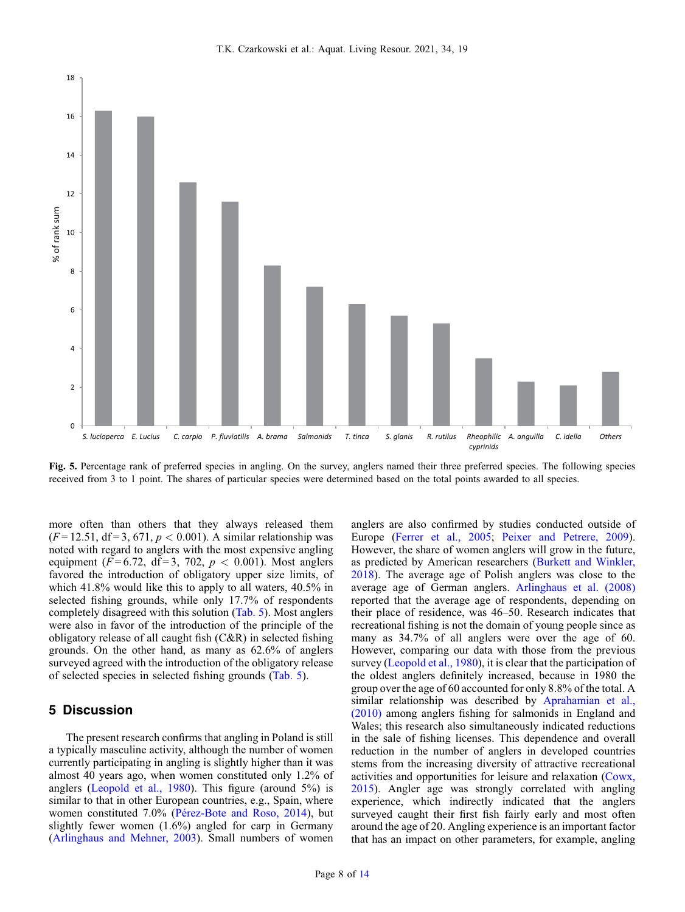<span id="page-7-0"></span>

Fig. 5. Percentage rank of preferred species in angling. On the survey, anglers named their three preferred species. The following species received from 3 to 1 point. The shares of particular species were determined based on the total points awarded to all species.

more often than others that they always released them  $(F = 12.51, df = 3, 671, p < 0.001)$ . A similar relationship was noted with regard to anglers with the most expensive angling equipment ( $F = 6.72$ , df = 3, 702,  $p < 0.001$ ). Most anglers favored the introduction of obligatory upper size limits, of which 41.8% would like this to apply to all waters, 40.5% in selected fishing grounds, while only 17.7% of respondents completely disagreed with this solution ([Tab. 5\)](#page-8-0). Most anglers were also in favor of the introduction of the principle of the obligatory release of all caught fish (C&R) in selected fishing grounds. On the other hand, as many as 62.6% of anglers surveyed agreed with the introduction of the obligatory release of selected species in selected fishing grounds [\(Tab. 5\)](#page-8-0).

# 5 Discussion

The present research confirms that angling in Poland is still a typically masculine activity, although the number of women currently participating in angling is slightly higher than it was almost 40 years ago, when women constituted only 1.2% of anglers [\(Leopold et al., 1980\)](#page-12-0). This figure (around 5%) is similar to that in other European countries, e.g., Spain, where women constituted 7.0% ([Pérez-Bote and Roso, 2014](#page-13-0)), but slightly fewer women (1.6%) angled for carp in Germany ([Arlinghaus and Mehner, 2003\)](#page-11-0). Small numbers of women

anglers are also confirmed by studies conducted outside of Europe [\(Ferrer et al., 2005](#page-12-0); [Peixer and Petrere, 2009\)](#page-13-0). However, the share of women anglers will grow in the future, as predicted by American researchers ([Burkett and Winkler,](#page-11-0) [2018](#page-11-0)). The average age of Polish anglers was close to the average age of German anglers. [Arlinghaus et al. \(2008\)](#page-11-0) reported that the average age of respondents, depending on their place of residence, was 46–50. Research indicates that recreational fishing is not the domain of young people since as many as 34.7% of all anglers were over the age of 60. However, comparing our data with those from the previous survey [\(Leopold et al., 1980\)](#page-12-0), it is clear that the participation of the oldest anglers definitely increased, because in 1980 the group over the age of 60 accounted for only 8.8% of the total. A similar relationship was described by [Aprahamian et al.,](#page-11-0) [\(2010\)](#page-11-0) among anglers fishing for salmonids in England and Wales; this research also simultaneously indicated reductions in the sale of fishing licenses. This dependence and overall reduction in the number of anglers in developed countries stems from the increasing diversity of attractive recreational activities and opportunities for leisure and relaxation [\(Cowx,](#page-12-0) [2015](#page-12-0)). Angler age was strongly correlated with angling experience, which indirectly indicated that the anglers surveyed caught their first fish fairly early and most often around the age of 20. Angling experience is an important factor that has an impact on other parameters, for example, angling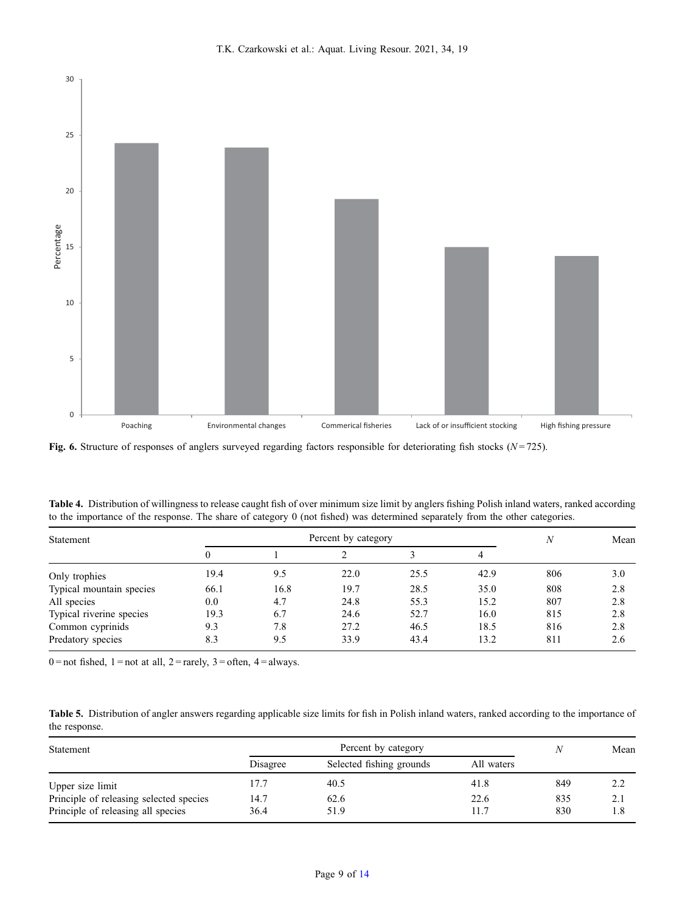<span id="page-8-0"></span>

Fig. 6. Structure of responses of anglers surveyed regarding factors responsible for deteriorating fish stocks ( $N = 725$ ).

| Table 4. Distribution of willingness to release caught fish of over minimum size limit by anglers fishing Polish inland waters, ranked according |  |  |
|--------------------------------------------------------------------------------------------------------------------------------------------------|--|--|
| to the importance of the response. The share of category 0 (not fished) was determined separately from the other categories.                     |  |  |

| Statement                | Percent by category |      |      |      |      | $\boldsymbol{N}$ | Mean |
|--------------------------|---------------------|------|------|------|------|------------------|------|
|                          |                     |      |      |      | 4    |                  |      |
| Only trophies            | 19.4                | 9.5  | 22.0 | 25.5 | 42.9 | 806              | 3.0  |
| Typical mountain species | 66.1                | 16.8 | 19.7 | 28.5 | 35.0 | 808              | 2.8  |
| All species              | 0.0                 | 4.7  | 24.8 | 55.3 | 15.2 | 807              | 2.8  |
| Typical riverine species | 19.3                | 6.7  | 24.6 | 52.7 | 16.0 | 815              | 2.8  |
| Common cyprinids         | 9.3                 | 7.8  | 27.2 | 46.5 | 18.5 | 816              | 2.8  |
| Predatory species        | 8.3                 | 9.5  | 33.9 | 43.4 | 13.2 | 811              | 2.6  |

 $0 =$ not fished,  $1 =$ not at all,  $2 =$ rarely,  $3 =$ often,  $4 =$ always.

Table 5. Distribution of angler answers regarding applicable size limits for fish in Polish inland waters, ranked according to the importance of the response.

| Statement                               |          |                          | Mean       |     |     |
|-----------------------------------------|----------|--------------------------|------------|-----|-----|
|                                         | Disagree | Selected fishing grounds | All waters |     |     |
| Upper size limit                        | 17.7     | 40.5                     | 41.8       | 849 | 2.2 |
| Principle of releasing selected species | 14.7     | 62.6                     | 22.6       | 835 | 2.1 |
| Principle of releasing all species      | 36.4     | 51.9                     | 11.7       | 830 | 1.8 |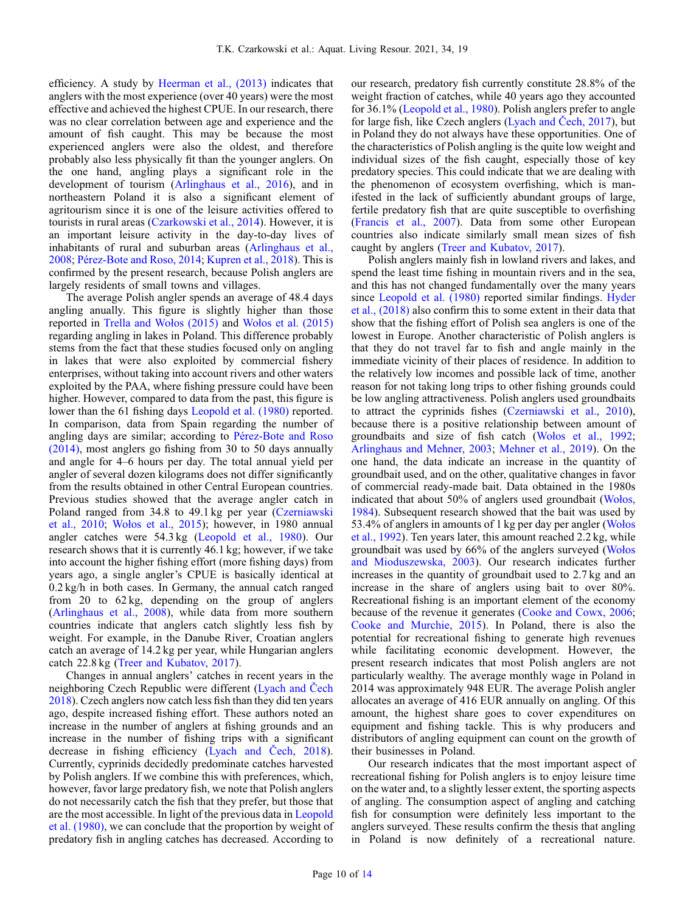efficiency. A study by [Heerman et al., \(2013\)](#page-12-0) indicates that anglers with the most experience (over 40 years) were the most effective and achieved the highest CPUE. In our research, there was no clear correlation between age and experience and the amount of fish caught. This may be because the most experienced anglers were also the oldest, and therefore probably also less physically fit than the younger anglers. On the one hand, angling plays a significant role in the development of tourism ([Arlinghaus et al., 2016](#page-11-0)), and in northeastern Poland it is also a significant element of agritourism since it is one of the leisure activities offered to tourists in rural areas ([Czarkowski et al., 2014\)](#page-12-0). However, it is an important leisure activity in the day-to-day lives of inhabitants of rural and suburban areas ([Arlinghaus et al.,](#page-11-0) [2008](#page-11-0); [Pérez-Bote and Roso, 2014](#page-13-0); [Kupren et al., 2018](#page-12-0)). This is confirmed by the present research, because Polish anglers are largely residents of small towns and villages.

The average Polish angler spends an average of 48.4 days angling anually. This figure is slightly higher than those reported in [Trella and Wo](#page-13-0)łos (2015) and Woł[os et al. \(2015\)](#page-13-0) regarding angling in lakes in Poland. This difference probably stems from the fact that these studies focused only on angling in lakes that were also exploited by commercial fishery enterprises, without taking into account rivers and other waters exploited by the PAA, where fishing pressure could have been higher. However, compared to data from the past, this figure is lower than the 61 fishing days [Leopold et al. \(1980\)](#page-12-0) reported. In comparison, data from Spain regarding the number of angling days are similar; according to [Pérez-Bote and Roso](#page-13-0) [\(2014\)](#page-13-0), most anglers go fishing from 30 to 50 days annually and angle for 4–6 hours per day. The total annual yield per angler of several dozen kilograms does not differ significantly from the results obtained in other Central European countries. Previous studies showed that the average angler catch in Poland ranged from 34.8 to 49.1 kg per year [\(Czerniawski](#page-12-0) [et al., 2010;](#page-12-0) Woł[os et al., 2015](#page-13-0)); however, in 1980 annual angler catches were 54.3 kg [\(Leopold et al., 1980\)](#page-12-0). Our research shows that it is currently 46.1 kg; however, if we take into account the higher fishing effort (more fishing days) from years ago, a single angler's CPUE is basically identical at 0.2 kg/h in both cases. In Germany, the annual catch ranged from 20 to 62 kg, depending on the group of anglers ([Arlinghaus et al., 2008](#page-11-0)), while data from more southern countries indicate that anglers catch slightly less fish by weight. For example, in the Danube River, Croatian anglers catch an average of 14.2 kg per year, while Hungarian anglers catch 22.8 kg ([Treer and Kubatov, 2017](#page-13-0)).

Changes in annual anglers' catches in recent years in the neighboring Czech Republic were different [\(Lyach and](#page-12-0) Čech [2018](#page-12-0)). Czech anglers now catch less fish than they did ten years ago, despite increased fishing effort. These authors noted an increase in the number of anglers at fishing grounds and an increase in the number of fishing trips with a significant decrease in fishing efficiency ([Lyach and](#page-12-0) Čech, 2018). Currently, cyprinids decidedly predominate catches harvested by Polish anglers. If we combine this with preferences, which, however, favor large predatory fish, we note that Polish anglers do not necessarily catch the fish that they prefer, but those that are the most accessible. In light of the previous data in [Leopold](#page-12-0) [et al. \(1980\),](#page-12-0) we can conclude that the proportion by weight of predatory fish in angling catches has decreased. According to

our research, predatory fish currently constitute 28.8% of the weight fraction of catches, while 40 years ago they accounted for 36.1% [\(Leopold et al., 1980](#page-12-0)). Polish anglers prefer to angle for large fish, like Czech anglers ([Lyach and](#page-12-0) Čech, 2017), but in Poland they do not always have these opportunities. One of the characteristics of Polish angling is the quite low weight and individual sizes of the fish caught, especially those of key predatory species. This could indicate that we are dealing with the phenomenon of ecosystem overfishing, which is manifested in the lack of sufficiently abundant groups of large, fertile predatory fish that are quite susceptible to overfishing ([Francis et al., 2007\)](#page-12-0). Data from some other European countries also indicate similarly small mean sizes of fish caught by anglers [\(Treer and Kubatov, 2017\)](#page-13-0).

Polish anglers mainly fish in lowland rivers and lakes, and spend the least time fishing in mountain rivers and in the sea, and this has not changed fundamentally over the many years since [Leopold et al. \(1980\)](#page-12-0) reported similar findings. [Hyder](#page-12-0) [et al., \(2018\)](#page-12-0) also confirm this to some extent in their data that show that the fishing effort of Polish sea anglers is one of the lowest in Europe. Another characteristic of Polish anglers is that they do not travel far to fish and angle mainly in the immediate vicinity of their places of residence. In addition to the relatively low incomes and possible lack of time, another reason for not taking long trips to other fishing grounds could be low angling attractiveness. Polish anglers used groundbaits to attract the cyprinids fishes [\(Czerniawski et al., 2010\)](#page-12-0), because there is a positive relationship between amount of groundbaits and size of fish catch (Woł[os et al., 1992;](#page-13-0) [Arlinghaus and Mehner, 2003;](#page-11-0) [Mehner et al., 2019](#page-12-0)). On the one hand, the data indicate an increase in the quantity of groundbait used, and on the other, qualitative changes in favor of commercial ready-made bait. Data obtained in the 1980s indicated that about 50% of anglers used groundbait [\(Wo](#page-13-0)łos, [1984](#page-13-0)). Subsequent research showed that the bait was used by 53.4% of anglers in amounts of 1 kg per day per angler [\(Wo](#page-13-0)łos [et al., 1992](#page-13-0)). Ten years later, this amount reached 2.2 kg, while groundbait was used by 66% of the anglers surveyed [\(Wo](#page-13-0)łos [and Mioduszewska, 2003](#page-13-0)). Our research indicates further increases in the quantity of groundbait used to 2.7 kg and an increase in the share of anglers using bait to over 80%. Recreational fishing is an important element of the economy because of the revenue it generates [\(Cooke and Cowx, 2006;](#page-12-0) [Cooke and Murchie, 2015](#page-12-0)). In Poland, there is also the potential for recreational fishing to generate high revenues while facilitating economic development. However, the present research indicates that most Polish anglers are not particularly wealthy. The average monthly wage in Poland in 2014 was approximately 948 EUR. The average Polish angler allocates an average of 416 EUR annually on angling. Of this amount, the highest share goes to cover expenditures on equipment and fishing tackle. This is why producers and distributors of angling equipment can count on the growth of their businesses in Poland.

Our research indicates that the most important aspect of recreational fishing for Polish anglers is to enjoy leisure time on the water and, to a slightly lesser extent, the sporting aspects of angling. The consumption aspect of angling and catching fish for consumption were definitely less important to the anglers surveyed. These results confirm the thesis that angling in Poland is now definitely of a recreational nature.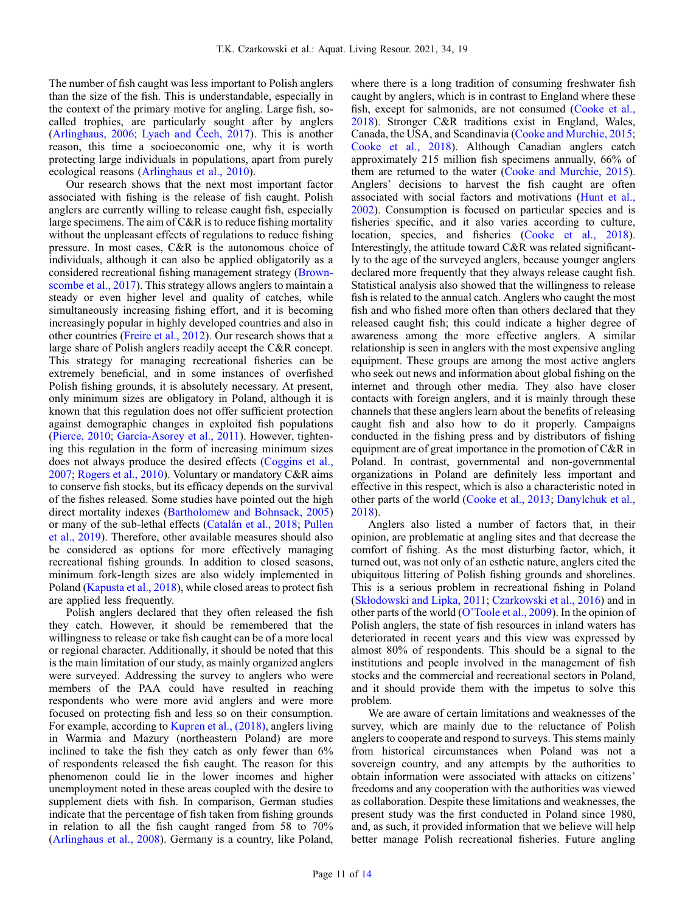The number of fish caught was less important to Polish anglers than the size of the fish. This is understandable, especially in the context of the primary motive for angling. Large fish, socalled trophies, are particularly sought after by anglers ([Arlinghaus, 2006;](#page-11-0) [Lyach and](#page-12-0) Čech, 2017). This is another reason, this time a socioeconomic one, why it is worth protecting large individuals in populations, apart from purely ecological reasons [\(Arlinghaus et al., 2010\)](#page-11-0).

Our research shows that the next most important factor associated with fishing is the release of fish caught. Polish anglers are currently willing to release caught fish, especially large specimens. The aim of C&R is to reduce fishing mortality without the unpleasant effects of regulations to reduce fishing pressure. In most cases, C&R is the autonomous choice of individuals, although it can also be applied obligatorily as a considered recreational fishing management strategy [\(Brown](#page-11-0)[scombe et al., 2017](#page-11-0)). This strategy allows anglers to maintain a steady or even higher level and quality of catches, while simultaneously increasing fishing effort, and it is becoming increasingly popular in highly developed countries and also in other countries ([Freire et al., 2012](#page-12-0)). Our research shows that a large share of Polish anglers readily accept the C&R concept. This strategy for managing recreational fisheries can be extremely beneficial, and in some instances of overfished Polish fishing grounds, it is absolutely necessary. At present, only minimum sizes are obligatory in Poland, although it is known that this regulation does not offer sufficient protection against demographic changes in exploited fish populations ([Pierce, 2010](#page-13-0); [García-Asorey et al., 2011](#page-12-0)). However, tightening this regulation in the form of increasing minimum sizes does not always produce the desired effects ([Coggins et al.,](#page-11-0) [2007](#page-11-0); [Rogers et al., 2010](#page-13-0)). Voluntary or mandatory C&R aims to conserve fish stocks, but its efficacy depends on the survival of the fishes released. Some studies have pointed out the high direct mortality indexes ([Bartholomew and Bohnsack, 2005\)](#page-11-0) or many of the sub-lethal effects [\(Catalán et al., 2018;](#page-11-0) [Pullen](#page-13-0) [et al., 2019\)](#page-13-0). Therefore, other available measures should also be considered as options for more effectively managing recreational fishing grounds. In addition to closed seasons, minimum fork-length sizes are also widely implemented in Poland ([Kapusta et al., 2018\)](#page-12-0), while closed areas to protect fish are applied less frequently.

Polish anglers declared that they often released the fish they catch. However, it should be remembered that the willingness to release or take fish caught can be of a more local or regional character. Additionally, it should be noted that this is the main limitation of our study, as mainly organized anglers were surveyed. Addressing the survey to anglers who were members of the PAA could have resulted in reaching respondents who were more avid anglers and were more focused on protecting fish and less so on their consumption. For example, according to [Kupren et al., \(2018\),](#page-12-0) anglers living in Warmia and Mazury (northeastern Poland) are more inclined to take the fish they catch as only fewer than 6% of respondents released the fish caught. The reason for this phenomenon could lie in the lower incomes and higher unemployment noted in these areas coupled with the desire to supplement diets with fish. In comparison, German studies indicate that the percentage of fish taken from fishing grounds in relation to all the fish caught ranged from 58 to 70% ([Arlinghaus et al., 2008](#page-11-0)). Germany is a country, like Poland, where there is a long tradition of consuming freshwater fish caught by anglers, which is in contrast to England where these fish, except for salmonids, are not consumed [\(Cooke et al.,](#page-12-0) [2018](#page-12-0)). Stronger C&R traditions exist in England, Wales, Canada, the USA, and Scandinavia ([Cooke and Murchie, 2015;](#page-12-0) [Cooke et al., 2018\)](#page-12-0). Although Canadian anglers catch approximately 215 million fish specimens annually, 66% of them are returned to the water ([Cooke and Murchie, 2015\)](#page-12-0). Anglers' decisions to harvest the fish caught are often associated with social factors and motivations ([Hunt et al.,](#page-12-0) [2002](#page-12-0)). Consumption is focused on particular species and is fisheries specific, and it also varies according to culture, location, species, and fisheries [\(Cooke et al., 2018\)](#page-12-0). Interestingly, the attitude toward C&R was related significantly to the age of the surveyed anglers, because younger anglers declared more frequently that they always release caught fish. Statistical analysis also showed that the willingness to release fish is related to the annual catch. Anglers who caught the most fish and who fished more often than others declared that they released caught fish; this could indicate a higher degree of awareness among the more effective anglers. A similar relationship is seen in anglers with the most expensive angling equipment. These groups are among the most active anglers who seek out news and information about global fishing on the internet and through other media. They also have closer contacts with foreign anglers, and it is mainly through these channels that these anglers learn about the benefits of releasing caught fish and also how to do it properly. Campaigns conducted in the fishing press and by distributors of fishing equipment are of great importance in the promotion of C&R in Poland. In contrast, governmental and non-governmental organizations in Poland are definitely less important and effective in this respect, which is also a characteristic noted in other parts of the world ([Cooke et al., 2013;](#page-12-0) [Danylchuk et al.,](#page-12-0) [2018](#page-12-0)).

Anglers also listed a number of factors that, in their opinion, are problematic at angling sites and that decrease the comfort of fishing. As the most disturbing factor, which, it turned out, was not only of an esthetic nature, anglers cited the ubiquitous littering of Polish fishing grounds and shorelines. This is a serious problem in recreational fishing in Poland (Skł[odowski and Lipka, 2011;](#page-13-0) [Czarkowski et al., 2016](#page-12-0)) and in other parts of the world (O'[Toole et al., 2009](#page-13-0)). In the opinion of Polish anglers, the state of fish resources in inland waters has deteriorated in recent years and this view was expressed by almost 80% of respondents. This should be a signal to the institutions and people involved in the management of fish stocks and the commercial and recreational sectors in Poland, and it should provide them with the impetus to solve this problem.

We are aware of certain limitations and weaknesses of the survey, which are mainly due to the reluctance of Polish anglers to cooperate and respond to surveys. This stems mainly from historical circumstances when Poland was not a sovereign country, and any attempts by the authorities to obtain information were associated with attacks on citizens' freedoms and any cooperation with the authorities was viewed as collaboration. Despite these limitations and weaknesses, the present study was the first conducted in Poland since 1980, and, as such, it provided information that we believe will help better manage Polish recreational fisheries. Future angling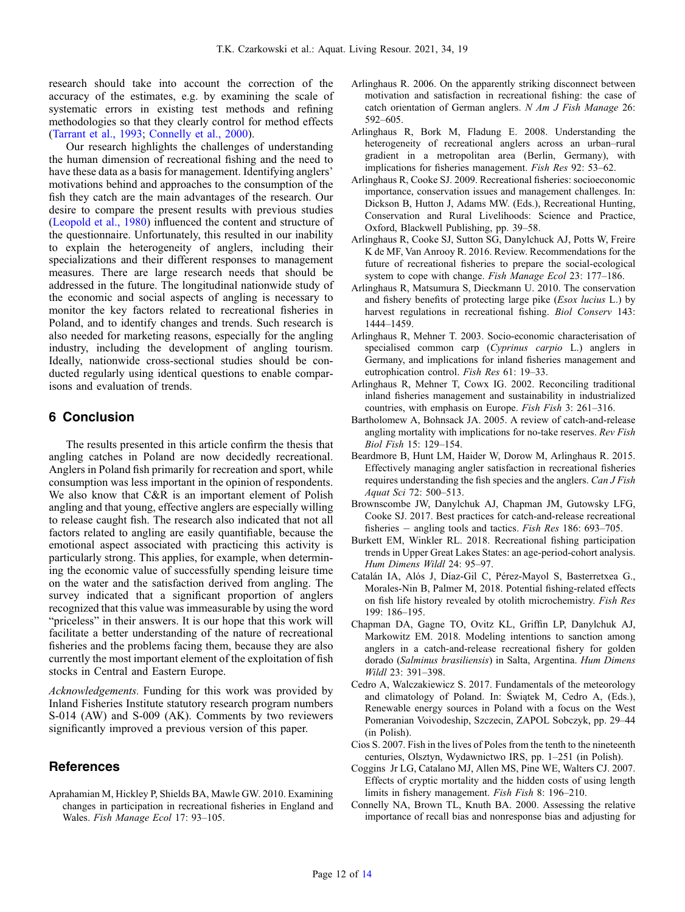<span id="page-11-0"></span>research should take into account the correction of the accuracy of the estimates, e.g. by examining the scale of systematic errors in existing test methods and refining methodologies so that they clearly control for method effects ([Tarrant et al., 1993;](#page-13-0) Connelly et al., 2000).

Our research highlights the challenges of understanding the human dimension of recreational fishing and the need to have these data as a basis for management. Identifying anglers' motivations behind and approaches to the consumption of the fish they catch are the main advantages of the research. Our desire to compare the present results with previous studies ([Leopold et al., 1980\)](#page-12-0) influenced the content and structure of the questionnaire. Unfortunately, this resulted in our inability to explain the heterogeneity of anglers, including their specializations and their different responses to management measures. There are large research needs that should be addressed in the future. The longitudinal nationwide study of the economic and social aspects of angling is necessary to monitor the key factors related to recreational fisheries in Poland, and to identify changes and trends. Such research is also needed for marketing reasons, especially for the angling industry, including the development of angling tourism. Ideally, nationwide cross-sectional studies should be conducted regularly using identical questions to enable comparisons and evaluation of trends.

# 6 Conclusion

The results presented in this article confirm the thesis that angling catches in Poland are now decidedly recreational. Anglers in Poland fish primarily for recreation and sport, while consumption was less important in the opinion of respondents. We also know that C&R is an important element of Polish angling and that young, effective anglers are especially willing to release caught fish. The research also indicated that not all factors related to angling are easily quantifiable, because the emotional aspect associated with practicing this activity is particularly strong. This applies, for example, when determining the economic value of successfully spending leisure time on the water and the satisfaction derived from angling. The survey indicated that a significant proportion of anglers recognized that this value was immeasurable by using the word "priceless" in their answers. It is our hope that this work will facilitate a better understanding of the nature of recreational fisheries and the problems facing them, because they are also currently the most important element of the exploitation of fish stocks in Central and Eastern Europe.

Acknowledgements. Funding for this work was provided by Inland Fisheries Institute statutory research program numbers S-014 (AW) and S-009 (AK). Comments by two reviewers significantly improved a previous version of this paper.

# References

Aprahamian M, Hickley P, Shields BA, Mawle GW. 2010. Examining changes in participation in recreational fisheries in England and Wales. Fish Manage Ecol 17: 93–105.

- Arlinghaus R. 2006. On the apparently striking disconnect between motivation and satisfaction in recreational fishing: the case of catch orientation of German anglers. N Am J Fish Manage 26: 592–605.
- Arlinghaus R, Bork M, Fladung E. 2008. Understanding the heterogeneity of recreational anglers across an urban–rural gradient in a metropolitan area (Berlin, Germany), with implications for fisheries management. Fish Res 92: 53–62.
- Arlinghaus R, Cooke SJ. 2009. Recreational fisheries: socioeconomic importance, conservation issues and management challenges. In: Dickson B, Hutton J, Adams MW. (Eds.), Recreational Hunting, Conservation and Rural Livelihoods: Science and Practice, Oxford, Blackwell Publishing, pp. 39–58.
- Arlinghaus R, Cooke SJ, Sutton SG, Danylchuck AJ, Potts W, Freire K de MF, Van Anrooy R. 2016. Review. Recommendations for the future of recreational fisheries to prepare the social-ecological system to cope with change. Fish Manage Ecol 23: 177–186.
- Arlinghaus R, Matsumura S, Dieckmann U. 2010. The conservation and fishery benefits of protecting large pike (Esox lucius L.) by harvest regulations in recreational fishing. Biol Conserv 143: 1444–1459.
- Arlinghaus R, Mehner T. 2003. Socio-economic characterisation of specialised common carp (Cyprinus carpio L.) anglers in Germany, and implications for inland fisheries management and eutrophication control. Fish Res 61: 19–33.
- Arlinghaus R, Mehner T, Cowx IG. 2002. Reconciling traditional inland fisheries management and sustainability in industrialized countries, with emphasis on Europe. Fish Fish 3: 261–316.
- Bartholomew A, Bohnsack JA. 2005. A review of catch-and-release angling mortality with implications for no-take reserves. Rev Fish Biol Fish 15: 129–154.
- Beardmore B, Hunt LM, Haider W, Dorow M, Arlinghaus R. 2015. Effectively managing angler satisfaction in recreational fisheries requires understanding the fish species and the anglers. Can J Fish Aquat Sci 72: 500–513.
- Brownscombe JW, Danylchuk AJ, Chapman JM, Gutowsky LFG, Cooke SJ. 2017. Best practices for catch-and-release recreational fisheries  $-$  angling tools and tactics. *Fish Res* 186: 693–705.
- Burkett EM, Winkler RL. 2018. Recreational fishing participation trends in Upper Great Lakes States: an age-period-cohort analysis. Hum Dimens Wildl 24: 95–97.
- Catalán IA, Alós J, Díaz-Gil C, Pérez-Mayol S, Basterretxea G., Morales-Nin B, Palmer M, 2018. Potential fishing-related effects on fish life history revealed by otolith microchemistry. Fish Res 199: 186–195.
- Chapman DA, Gagne TO, Ovitz KL, Griffin LP, Danylchuk AJ, Markowitz EM. 2018. Modeling intentions to sanction among anglers in a catch-and-release recreational fishery for golden dorado (Salminus brasiliensis) in Salta, Argentina. Hum Dimens Wildl 23: 391–398.
- Cedro A, Walczakiewicz S. 2017. Fundamentals of the meteorology and climatology of Poland. In: Świątek M, Cedro A, (Eds.), Renewable energy sources in Poland with a focus on the West Pomeranian Voivodeship, Szczecin, ZAPOL Sobczyk, pp. 29–44 (in Polish).
- Cios S. 2007. Fish in the lives of Poles from the tenth to the nineteenth centuries, Olsztyn, Wydawnictwo IRS, pp. 1–251 (in Polish).
- Coggins Jr LG, Catalano MJ, Allen MS, Pine WE, Walters CJ. 2007. Effects of cryptic mortality and the hidden costs of using length limits in fishery management. Fish Fish 8: 196–210.
- Connelly NA, Brown TL, Knuth BA. 2000. Assessing the relative importance of recall bias and nonresponse bias and adjusting for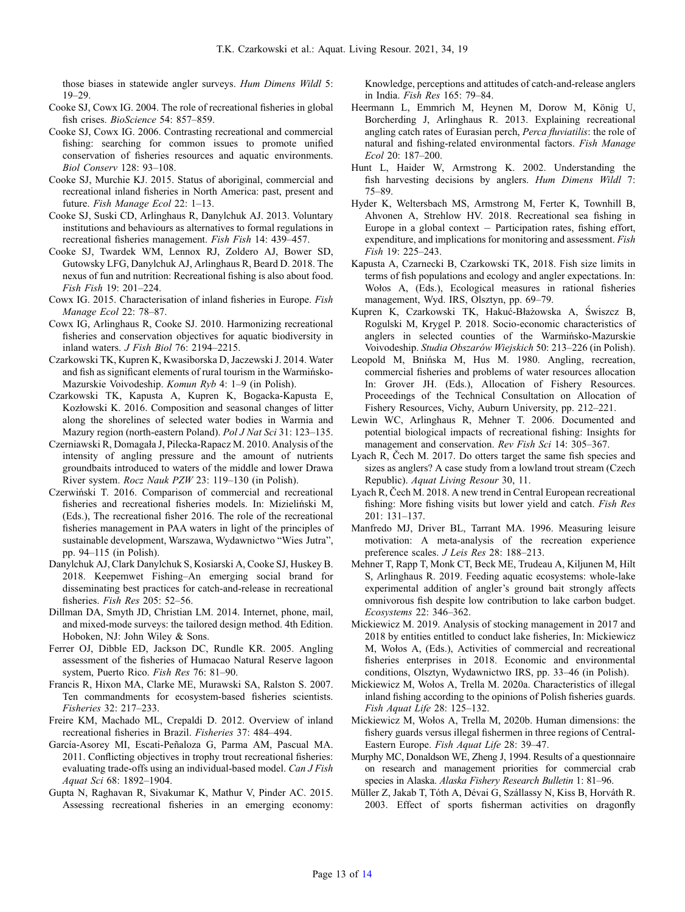<span id="page-12-0"></span>those biases in statewide angler surveys. Hum Dimens Wildl 5: 19–29.

- Cooke SJ, Cowx IG. 2004. The role of recreational fisheries in global fish crises. *BioScience* 54: 857–859.
- Cooke SJ, Cowx IG. 2006. Contrasting recreational and commercial fishing: searching for common issues to promote unified conservation of fisheries resources and aquatic environments. Biol Conserv 128: 93–108.
- Cooke SJ, Murchie KJ. 2015. Status of aboriginal, commercial and recreational inland fisheries in North America: past, present and future. Fish Manage Ecol 22: 1–13.
- Cooke SJ, Suski CD, Arlinghaus R, Danylchuk AJ. 2013. Voluntary institutions and behaviours as alternatives to formal regulations in recreational fisheries management. Fish Fish 14: 439–457.
- Cooke SJ, Twardek WM, Lennox RJ, Zoldero AJ, Bower SD, Gutowsky LFG, Danylchuk AJ, Arlinghaus R, Beard D. 2018. The nexus of fun and nutrition: Recreational fishing is also about food. Fish Fish 19: 201–224.
- Cowx IG. 2015. Characterisation of inland fisheries in Europe. Fish Manage Ecol 22: 78–87.
- Cowx IG, Arlinghaus R, Cooke SJ. 2010. Harmonizing recreational fisheries and conservation objectives for aquatic biodiversity in inland waters. J Fish Biol 76: 2194–2215.
- Czarkowski TK, Kupren K, Kwasiborska D, Jaczewski J. 2014. Water and fish as significant elements of rural tourism in the Warmińsko-Mazurskie Voivodeship. Komun Ryb 4: 1–9 (in Polish).
- Czarkowski TK, Kapusta A, Kupren K, Bogacka-Kapusta E, Kozłowski K. 2016. Composition and seasonal changes of litter along the shorelines of selected water bodies in Warmia and Mazury region (north-eastern Poland). Pol J Nat Sci 31: 123–135.
- Czerniawski R, Domagała J, Pilecka-Rapacz M. 2010. Analysis of the intensity of angling pressure and the amount of nutrients groundbaits introduced to waters of the middle and lower Drawa River system. Rocz Nauk PZW 23: 119–130 (in Polish).
- Czerwiński T. 2016. Comparison of commercial and recreational fisheries and recreational fisheries models. In: Mizieliński M, (Eds.), The recreational fisher 2016. The role of the recreational fisheries management in PAA waters in light of the principles of sustainable development, Warszawa, Wydawnictwo "Wies Jutra", pp. 94–115 (in Polish).
- Danylchuk AJ, Clark Danylchuk S, Kosiarski A, Cooke SJ, Huskey B. 2018. Keepemwet Fishing–An emerging social brand for disseminating best practices for catch-and-release in recreational fisheries. Fish Res 205: 52–56.
- Dillman DA, Smyth JD, Christian LM. 2014. Internet, phone, mail, and mixed-mode surveys: the tailored design method. 4th Edition. Hoboken, NJ: John Wiley & Sons.
- Ferrer OJ, Dibble ED, Jackson DC, Rundle KR. 2005. Angling assessment of the fisheries of Humacao Natural Reserve lagoon system, Puerto Rico. Fish Res 76: 81–90.
- Francis R, Hixon MA, Clarke ME, Murawski SA, Ralston S. 2007. Ten commandments for ecosystem-based fisheries scientists. Fisheries 32: 217–233.
- Freire KM, Machado ML, Crepaldi D. 2012. Overview of inland recreational fisheries in Brazil. Fisheries 37: 484–494.
- García-Asorey MI, Escati-Peñaloza G, Parma AM, Pascual MA. 2011. Conflicting objectives in trophy trout recreational fisheries: evaluating trade-offs using an individual-based model. Can J Fish Aquat Sci 68: 1892–1904.
- Gupta N, Raghavan R, Sivakumar K, Mathur V, Pinder AC. 2015. Assessing recreational fisheries in an emerging economy:

Knowledge, perceptions and attitudes of catch-and-release anglers in India. Fish Res 165: 79–84.

- Heermann L, Emmrich M, Heynen M, Dorow M, König U, Borcherding J, Arlinghaus R. 2013. Explaining recreational angling catch rates of Eurasian perch, Perca fluviatilis: the role of natural and fishing-related environmental factors. Fish Manage Ecol 20: 187–200.
- Hunt L, Haider W, Armstrong K. 2002. Understanding the fish harvesting decisions by anglers. Hum Dimens Wildl 7: 75–89.
- Hyder K, Weltersbach MS, Armstrong M, Ferter K, Townhill B, Ahvonen A, Strehlow HV. 2018. Recreational sea fishing in Europe in a global context  $-$  Participation rates, fishing effort, expenditure, and implications for monitoring and assessment. Fish Fish 19: 225–243.
- Kapusta A, Czarnecki B, Czarkowski TK, 2018. Fish size limits in terms of fish populations and ecology and angler expectations. In: Wołos A, (Eds.), Ecological measures in rational fisheries management, Wyd. IRS, Olsztyn, pp. 69–79.
- Kupren K, Czarkowski TK, Hakuć-Błażowska A, Świszcz B, Rogulski M, Krygel P. 2018. Socio-economic characteristics of anglers in selected counties of the Warmińsko-Mazurskie Voivodeship. Studia Obszarów Wiejskich 50: 213–226 (in Polish).
- Leopold M, Bnińska M, Hus M. 1980. Angling, recreation, commercial fisheries and problems of water resources allocation In: Grover JH. (Eds.), Allocation of Fishery Resources. Proceedings of the Technical Consultation on Allocation of Fishery Resources, Vichy, Auburn University, pp. 212–221.
- Lewin WC, Arlinghaus R, Mehner T. 2006. Documented and potential biological impacts of recreational fishing: Insights for management and conservation. Rev Fish Sci 14: 305–367.
- Lyach R, Čech M. 2017. Do otters target the same fish species and sizes as anglers? A case study from a lowland trout stream (Czech Republic). Aquat Living Resour 30, 11.
- Lyach R, Čech M. 2018. A new trend in Central European recreational fishing: More fishing visits but lower yield and catch. Fish Res 201: 131–137.
- Manfredo MJ, Driver BL, Tarrant MA. 1996. Measuring leisure motivation: A meta-analysis of the recreation experience preference scales. J Leis Res 28: 188–213.
- Mehner T, Rapp T, Monk CT, Beck ME, Trudeau A, Kiljunen M, Hilt S, Arlinghaus R. 2019. Feeding aquatic ecosystems: whole-lake experimental addition of angler's ground bait strongly affects omnivorous fish despite low contribution to lake carbon budget. Ecosystems 22: 346–362.
- Mickiewicz M. 2019. Analysis of stocking management in 2017 and 2018 by entities entitled to conduct lake fisheries, In: Mickiewicz M, Wołos A, (Eds.), Activities of commercial and recreational fisheries enterprises in 2018. Economic and environmental conditions, Olsztyn, Wydawnictwo IRS, pp. 33–46 (in Polish).
- Mickiewicz M, Wołos A, Trella M. 2020a. Characteristics of illegal inland fishing according to the opinions of Polish fisheries guards. Fish Aquat Life 28: 125–132.
- Mickiewicz M, Wołos A, Trella M, 2020b. Human dimensions: the fishery guards versus illegal fishermen in three regions of Central-Eastern Europe. Fish Aquat Life 28: 39–47.
- Murphy MC, Donaldson WE, Zheng J, 1994. Results of a questionnaire on research and management priorities for commercial crab species in Alaska. Alaska Fishery Research Bulletin 1: 81–96.
- Müller Z, Jakab T, Tóth A, Dévai G, Szállassy N, Kiss B, Horváth R. 2003. Effect of sports fisherman activities on dragonfly